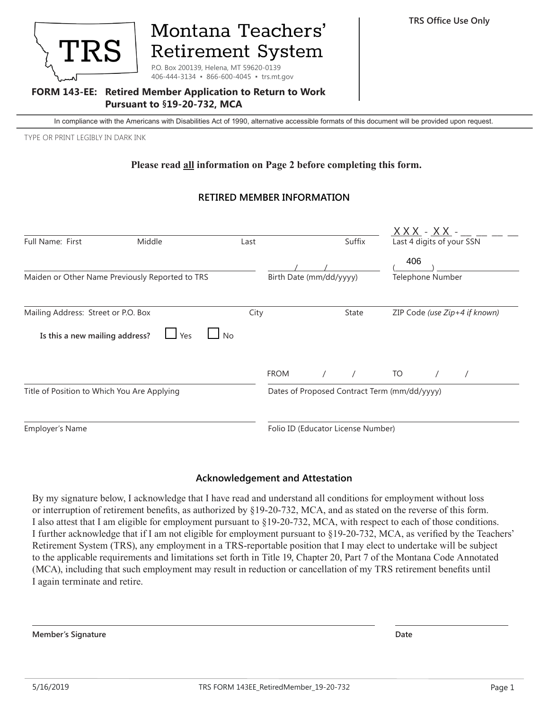

# Montana Teachers' **Retirement System**

P.O. Box 200139, Helena, MT 59620-0139 406-444-3134 • 866-600-4045 • trs.mt.gov

#### **FORM 143-EE: Retired Member Application to Return to Work Pursuant to §19-20-732, MCA**

In compliance with the Americans with Disabilities Act of 1990, alternative accessible formats of this document will be provided upon request.

TYPE OR PRINT LEGIBLY IN DARK INK

## **Please read all information on Page 2 before completing this form.**

## **RETIRED MEMBER INFORMATION**

|                                                 |        |      |                                              |  |            |                               | <u>XXX - XX - </u>        |  |  |
|-------------------------------------------------|--------|------|----------------------------------------------|--|------------|-------------------------------|---------------------------|--|--|
| Full Name: First                                | Middle | Last |                                              |  | Suffix     |                               | Last 4 digits of your SSN |  |  |
|                                                 |        |      |                                              |  |            | 406                           |                           |  |  |
| Maiden or Other Name Previously Reported to TRS |        |      | Birth Date (mm/dd/yyyy)                      |  |            |                               | Telephone Number          |  |  |
| Mailing Address: Street or P.O. Box             |        | City | <b>State</b>                                 |  |            | ZIP Code (use Zip+4 if known) |                           |  |  |
| Is this a new mailing address?                  | Yes    | l No |                                              |  |            |                               |                           |  |  |
|                                                 |        |      | <b>FROM</b>                                  |  | $\sqrt{2}$ | TO                            |                           |  |  |
| Title of Position to Which You Are Applying     |        |      | Dates of Proposed Contract Term (mm/dd/yyyy) |  |            |                               |                           |  |  |
|                                                 |        |      |                                              |  |            |                               |                           |  |  |

### **Acknowledgement and Attestation**

By my signature below, I acknowledge that I have read and understand all conditions for employment without loss or interruption of retirement benefits, as authorized by §19-20-732, MCA, and as stated on the reverse of this form. I also attest that I am eligible for employment pursuant to §19-20-732, MCA, with respect to each of those conditions. I further acknowledge that if I am not eligible for employment pursuant to §19-20-732, MCA, as verified by the Teachers' Retirement System (TRS), any employment in a TRS-reportable position that I may elect to undertake will be subject to the applicable requirements and limitations set forth in Title 19, Chapter 20, Part 7 of the Montana Code Annotated (MCA), including that such employment may result in reduction or cancellation of my TRS retirement benefits until I again terminate and retire.

**Member's Signature Date**